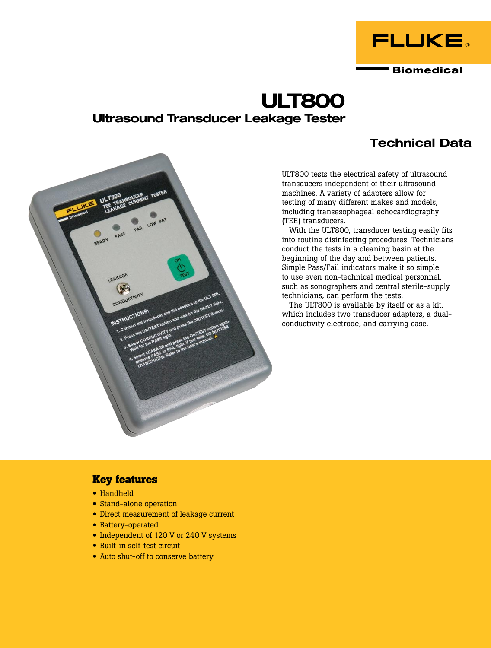

# **ULT800 Ultrasound Transducer Leakage Tester**

## **Technical Data**



ULT800 tests the electrical safety of ultrasound transducers independent of their ultrasound machines. A variety of adapters allow for testing of many different makes and models, including transesophageal echocardiography (TEE) transducers.

With the ULT800, transducer testing easily fits into routine disinfecting procedures. Technicians conduct the tests in a cleaning basin at the beginning of the day and between patients. Simple Pass/Fail indicators make it so simple to use even non-technical medical personnel, such as sonographers and central sterile-supply technicians, can perform the tests.

The ULT800 is available by itself or as a kit, which includes two transducer adapters, a dualconductivity electrode, and carrying case.

## **Key features**

- Handheld
- Stand-alone operation
- Direct measurement of leakage current
- Battery-operated
- Independent of 120 V or 240 V systems
- Built-in self-test circuit
- Auto shut-off to conserve battery